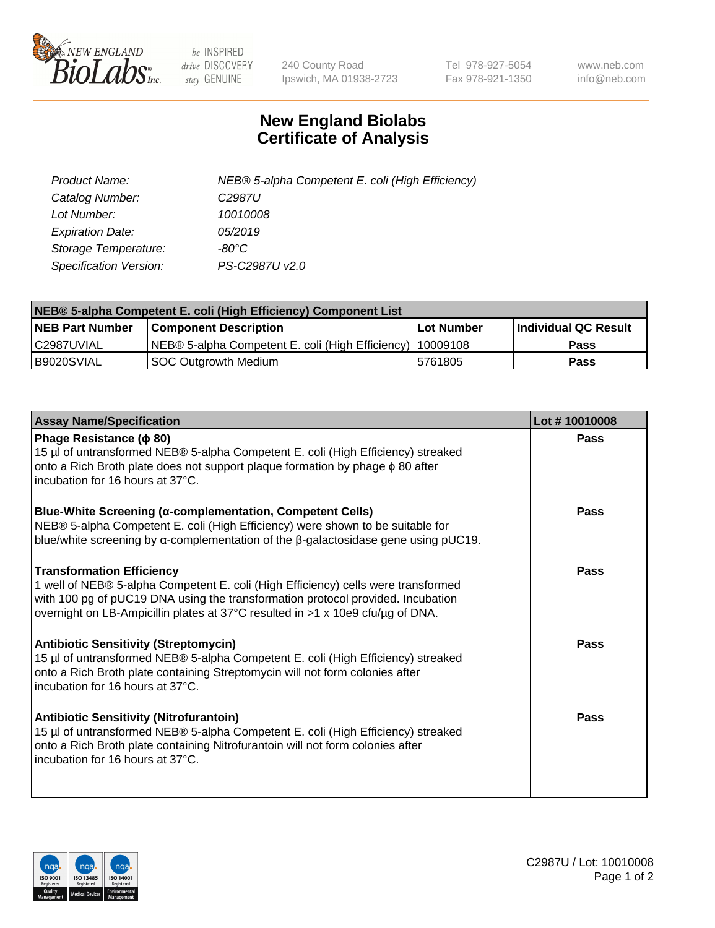

 $be$  INSPIRED drive DISCOVERY stay GENUINE

240 County Road Ipswich, MA 01938-2723 Tel 978-927-5054 Fax 978-921-1350 www.neb.com info@neb.com

## **New England Biolabs Certificate of Analysis**

| <b>Product Name:</b>          | NEB® 5-alpha Competent E. coli (High Efficiency) |
|-------------------------------|--------------------------------------------------|
| Catalog Number:               | C <sub>2987</sub> U                              |
| Lot Number:                   | 10010008                                         |
| <b>Expiration Date:</b>       | 05/2019                                          |
| Storage Temperature:          | -80°C                                            |
| <b>Specification Version:</b> | PS-C2987U v2.0                                   |

| NEB® 5-alpha Competent E. coli (High Efficiency) Component List |                                                           |             |                      |  |  |
|-----------------------------------------------------------------|-----------------------------------------------------------|-------------|----------------------|--|--|
| <b>NEB Part Number</b>                                          | <b>Component Description</b>                              | ⊺Lot Number | Individual QC Result |  |  |
| l C2987UVIAL                                                    | NEB® 5-alpha Competent E. coli (High Efficiency) 10009108 |             | <b>Pass</b>          |  |  |
| B9020SVIAL                                                      | SOC Outgrowth Medium                                      | 5761805     | <b>Pass</b>          |  |  |

| <b>Assay Name/Specification</b>                                                                                                                                                                                                                                                            | Lot #10010008 |
|--------------------------------------------------------------------------------------------------------------------------------------------------------------------------------------------------------------------------------------------------------------------------------------------|---------------|
| Phage Resistance ( $\phi$ 80)<br>15 µl of untransformed NEB® 5-alpha Competent E. coli (High Efficiency) streaked<br>onto a Rich Broth plate does not support plaque formation by phage $\phi$ 80 after<br>incubation for 16 hours at 37°C.                                                | Pass          |
| Blue-White Screening (α-complementation, Competent Cells)<br>NEB® 5-alpha Competent E. coli (High Efficiency) were shown to be suitable for<br>blue/white screening by $\alpha$ -complementation of the $\beta$ -galactosidase gene using pUC19.                                           | Pass          |
| <b>Transformation Efficiency</b><br>1 well of NEB® 5-alpha Competent E. coli (High Efficiency) cells were transformed<br>with 100 pg of pUC19 DNA using the transformation protocol provided. Incubation<br>overnight on LB-Ampicillin plates at 37°C resulted in >1 x 10e9 cfu/µg of DNA. | Pass          |
| <b>Antibiotic Sensitivity (Streptomycin)</b><br>15 µl of untransformed NEB® 5-alpha Competent E. coli (High Efficiency) streaked<br>onto a Rich Broth plate containing Streptomycin will not form colonies after<br>incubation for 16 hours at 37°C.                                       | Pass          |
| <b>Antibiotic Sensitivity (Nitrofurantoin)</b><br>15 µl of untransformed NEB® 5-alpha Competent E. coli (High Efficiency) streaked<br>onto a Rich Broth plate containing Nitrofurantoin will not form colonies after<br>incubation for 16 hours at 37°C.                                   | Pass          |